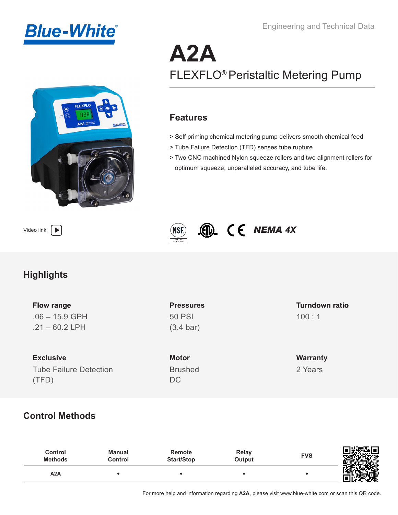



# **A2A** FLEXFLO® Peristaltic Metering Pump

#### **Features**

- > Self priming chemical metering pump delivers smooth chemical feed
- > Tube Failure Detection (TFD) senses tube rupture
- > Two CNC machined Nylon squeeze rollers and two alignment rollers for optimum squeeze, unparalleled accuracy, and tube life.





# **Highlights**

.06 – 15.9 GPH  $.21 - 60.2$  LPH

**Exclusive** Tube Failure Detection (TFD)

50 PSI (3.4 bar)

**Motor** Brushed DC

#### 100 : 1 **Flow range Pressures Turndown ratio**

**Warranty** 2 Years

## **Control Methods**

| Control<br><b>Methods</b> | <b>Manual</b><br>Control | Remote<br><b>Start/Stop</b> | Relay<br>Output | <b>FVS</b> | 同步交互同<br>੶ <sup>੶ਜ਼</sup> ਲ਼ਲ਼ੑ <sub>ਲ਼ਲ਼ਲ਼</sub><br>-9-<br>u.<br>-2005 |
|---------------------------|--------------------------|-----------------------------|-----------------|------------|-------------------------------------------------------------------------|
| A2A                       |                          |                             |                 |            | EU COR                                                                  |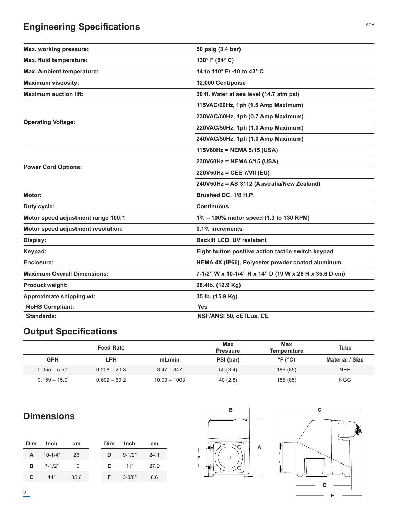# **Engineering Specifications** A2A

| Max. working pressure:             | 50 psig (3.4 bar)                                      |  |  |
|------------------------------------|--------------------------------------------------------|--|--|
| Max. fluid temperature:            | 130° F (54° C)                                         |  |  |
| Max. Ambient temperature:          | 14 to 110° F/ -10 to 43° C                             |  |  |
| <b>Maximum viscosity:</b>          | 12,000 Centipoise                                      |  |  |
| <b>Maximum suction lift:</b>       | 30 ft. Water at sea level (14.7 atm psi)               |  |  |
|                                    | 115VAC/60Hz, 1ph (1.5 Amp Maximum)                     |  |  |
|                                    | 230VAC/60Hz, 1ph (0.7 Amp Maximum)                     |  |  |
| <b>Operating Voltage:</b>          | 220VAC/50Hz, 1ph (1.0 Amp Maximum)                     |  |  |
|                                    | 240VAC/50Hz, 1ph (1.0 Amp Maximum)                     |  |  |
|                                    | 115V60Hz = NEMA 5/15 (USA)                             |  |  |
|                                    | 230V60Hz = NEMA 6/15 (USA)                             |  |  |
| <b>Power Cord Options:</b>         | 220V50Hz = CEE 7/VII (EU)                              |  |  |
|                                    | 240V50Hz = AS 3112 (Australia/New Zealand)             |  |  |
| Motor:                             | Brushed DC, 1/8 H.P.                                   |  |  |
| Duty cycle:                        | <b>Continuous</b>                                      |  |  |
| Motor speed adjustment range 100:1 | 1% - 100% motor speed (1.3 to 130 RPM)                 |  |  |
| Motor speed adjustment resolution: | 0.1% increments                                        |  |  |
| Display:                           | <b>Backlit LCD, UV resistant</b>                       |  |  |
| Keypad:                            | Eight button positive action tactile switch keypad     |  |  |
| Enclosure:                         | NEMA 4X (IP66), Polyester powder coated aluminum.      |  |  |
| <b>Maximum Overall Dimensions:</b> | 7-1/2" W x 10-1/4" H x 14" D (19 W x 26 H x 35.6 D cm) |  |  |
| <b>Product weight:</b>             | 28.4lb. (12.9 Kg)                                      |  |  |
| Approximate shipping wt:           | 35 lb. (15.9 Kg)                                       |  |  |
| <b>RoHS Compliant:</b>             | <b>Yes</b>                                             |  |  |
| <b>Standards:</b>                  | NSF/ANSI 50, cETLus, CE                                |  |  |

# **Output Specifications**

|                | <b>Feed Rate</b> |                | <b>Max</b><br><b>Pressure</b> | Max<br>Temperature         | <b>Tube</b>            |
|----------------|------------------|----------------|-------------------------------|----------------------------|------------------------|
| <b>GPH</b>     | LPH              | mL/min         | PSI (bar)                     | $\degree$ F ( $\degree$ C) | <b>Material / Size</b> |
| $0.055 - 5.50$ | $0.208 - 20.8$   | $3.47 - 347$   | 50(3.4)                       | 185 (85)                   | <b>NEE</b>             |
| $0.159 - 15.9$ | $0.602 - 60.2$   | $10.03 - 1003$ | 40(2.8)                       | 185 (85)                   | <b>NGG</b>             |

# **Dimensions**

| <b>Dim</b> | Inch              | cm   | Dim. | Inch       | cm   |
|------------|-------------------|------|------|------------|------|
| A          | $10 - 1/4"$       | 26   | D    | $9 - 1/2"$ | 24 1 |
|            | <b>B</b> $7-1/2"$ | 19   | F.   | 11"        | 27.9 |
| C.         | 14"               | 35.6 | F.   | $3 - 3/8"$ | 86   |



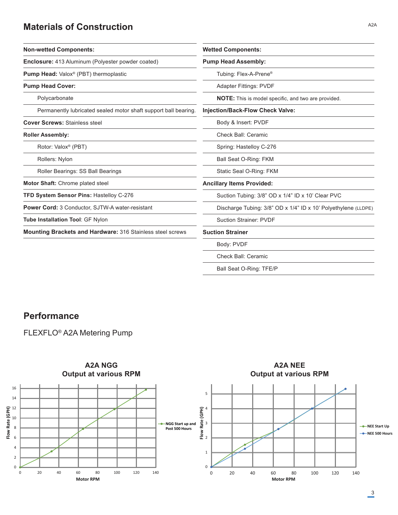### **Materials of Construction**

| <b>Wetted Components:</b>                                                                                  |  |  |
|------------------------------------------------------------------------------------------------------------|--|--|
| <b>Pump Head Assembly:</b>                                                                                 |  |  |
| Tubing: Flex-A-Prene <sup>®</sup>                                                                          |  |  |
| <b>Adapter Fittings: PVDF</b>                                                                              |  |  |
| NOTE: This is model specific, and two are provided.                                                        |  |  |
| <b>Injection/Back-Flow Check Valve:</b><br>Permanently lubricated sealed motor shaft support ball bearing. |  |  |
| Body & Insert: PVDF                                                                                        |  |  |
| Check Ball: Ceramic                                                                                        |  |  |
| Spring: Hastelloy C-276                                                                                    |  |  |
| Ball Seat O-Ring: FKM                                                                                      |  |  |
| Static Seal O-Ring: FKM                                                                                    |  |  |
| <b>Ancillary Items Provided:</b>                                                                           |  |  |
| Suction Tubing: 3/8" OD x 1/4" ID x 10' Clear PVC                                                          |  |  |
| Discharge Tubing: 3/8" OD x 1/4" ID x 10' Polyethylene (LLDPE)                                             |  |  |
| <b>Suction Strainer: PVDF</b>                                                                              |  |  |
| <b>Suction Strainer</b>                                                                                    |  |  |
| Body: PVDF                                                                                                 |  |  |
| <b>Check Ball: Ceramic</b>                                                                                 |  |  |
|                                                                                                            |  |  |

Ball Seat O-Ring: TFE/P

#### **Performance**

FLEXFLO® A2A Metering Pump



#### A2A